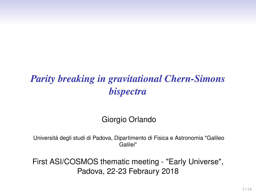# *Parity breaking in gravitational Chern-Simons bispectra*

Giorgio Orlando

Universitá degli studi di Padova, Dipartimento di Fisica e Astronomia "Galileo Galilei"

First ASI/COSMOS thematic meeting - "Early Universe", Padova, 22-23 Febraury 2018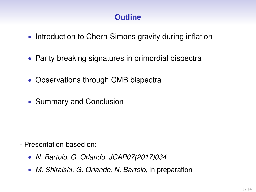## **Outline**

- Introduction to Chern-Simons gravity during inflation
- Parity breaking signatures in primordial bispectra
- Observations through CMB bispectra
- Summary and Conclusion

- Presentation based on:
	- *N. Bartolo, G. Orlando, JCAP07(2017)034*
	- *M. Shiraishi, G. Orlando, N. Bartolo*, in preparation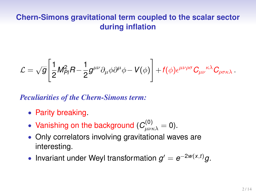#### **Chern-Simons gravitational term coupled to the scalar sector during inflation**

$$
\mathcal{L} = \sqrt{g} \Bigg[ \frac{1}{2} M_{Pl}^2 R - \frac{1}{2} g^{\mu\nu} \partial_\mu \phi \partial^\mu \phi - V(\phi) \Bigg] + f(\phi) \epsilon^{\mu\nu\rho\sigma} C_{\mu\nu}{}^{\kappa\lambda} C_{\rho\sigma\kappa\lambda} \, .
$$

*Peculiarities of the Chern-Simons term:*

- Parity breaking.
- Vanishing on the background ( $C^{(0)}_{\mu\nu\kappa\lambda} = 0$ ).
- Only correlators involving gravitational waves are interesting.
- Invariant under Weyl transformation  $g' = e^{-2w(x,t)}g$ .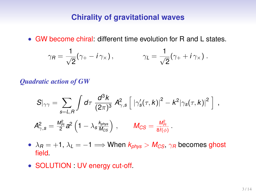#### **Chirality of gravitational waves**

• GW become chiral: different time evolution for R and L states.

$$
\gamma_R = \frac{1}{\sqrt{2}} (\gamma_+ - i \gamma_\times), \qquad \gamma_L = \frac{1}{\sqrt{2}} (\gamma_+ + i \gamma_\times).
$$

*Quadratic action of GW*

$$
S|_{\gamma\gamma} = \sum_{s=L,R} \int d\tau \; \frac{d^3k}{(2\pi)^3} \; A_{\gamma,s}^2 \left[ \; \left| \gamma_s'(\tau,k) \right|^2 - k^2 \left| \gamma_s(\tau,k) \right|^2 \; \right] \; ,
$$
  

$$
A_{\gamma,s}^2 = \frac{M_{Pl}^2}{2} a^2 \left( 1 - \lambda_s \frac{k_{phys}}{M_{CS}} \right) \; , \qquad M_{CS} = \frac{M_{Pl}^2}{8f(\phi)} \; .
$$

- $\lambda_B = +1$ ,  $\lambda_L = -1 \Longrightarrow$  When  $k_{\text{phys}} > M_{CS}$ ,  $\gamma_B$  becomes ghost field.
- SOLUTION : UV energy cut-off.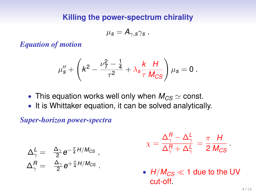#### **Killing the power-spectrum chirality**

$$
\mu_{\mathcal{S}} = \mathcal{A}_{\gamma,\mathcal{S}}\gamma_{\mathcal{S}}\ .
$$

*Equation of motion*

$$
\mu''_s + \left( k^2 - \frac{\nu_{\tau}^2 - \frac{1}{4}}{\tau^2} + \lambda_s \frac{k}{\tau} \frac{H}{M_{CS}} \right) \mu_s = 0 \; .
$$

- This equation works well only when  $M_{CS} \simeq$  const.
- It is Whittaker equation, it can be solved analytically.

*Super-horizon power-spectra*

$$
\begin{array}{rcl} \Delta_\gamma^L=&\frac{\Delta_\gamma}{2}e^{-\frac{\pi}{4}H/M_{CS}}\ ,\\ \Delta_\gamma^R=&\frac{\Delta_\gamma}{2}e^{+\frac{\pi}{4}H/M_{CS}}\ .\end{array}
$$

$$
\chi = \frac{\Delta_{\gamma}^{R}-\Delta_{\gamma}^{L}}{\Delta_{\gamma}^{R}+\Delta_{\gamma}^{L}} = \frac{\pi}{2} \frac{H}{M_{CS}}.
$$

•  $H/M_{CS} \ll 1$  due to the UV cut-off.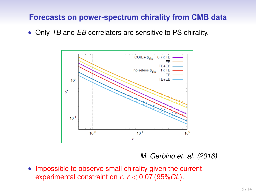#### **Forecasts on power-spectrum chirality from CMB data**

• Only *TB* and *EB* correlators are sensitive to PS chirality.



*M. Gerbino et. al. (2016)*

• Impossible to observe small chirality given the current experimental constraint on *r*, *r* < 0.07 (95%*CL*).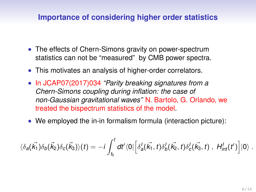#### **Importance of considering higher order statistics**

- The effects of Chern-Simons gravity on power-spectrum statistics can not be "measured" by CMB power spectra.
- This motivates an analysis of higher-order correlators.
- In JCAP07(2017)034 *"Parity breaking signatures from a Chern-Simons coupling during inflation: the case of non-Gaussian gravitational waves"* N. Bartolo, G. Orlando, we treated the bispectrum statistics of the model.
- We employed the in-in formalism formula (interaction picture):

$$
\langle \delta_a(\vec{k_1}) \delta_b(\vec{k_2}) \delta_c(\vec{k_3}) \rangle(t) = -i \int_{t_0}^t dt' \langle 0 | \Big[ \delta_a^I(\vec{k_1}, t) \delta_b^I(\vec{k_2}, t) \delta_c^I(\vec{k_3}, t) \;, \; H_{int}^I(t') \Big] | 0 \rangle \; .
$$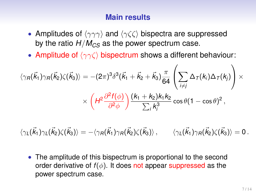#### **Main results**

- Amplitudes of  $\langle \gamma \gamma \gamma \rangle$  and  $\langle \gamma \zeta \zeta \rangle$  bispectra are suppressed by the ratio  $H/M_{CS}$  as the power spectrum case.
- Amplitude of  $\langle \gamma \gamma \zeta \rangle$  bispectrum shows a different behaviour:

$$
\langle \gamma_R(\vec{k}_1) \gamma_R(\vec{k}_2) \zeta(\vec{k}_3) \rangle = -(2\pi)^3 \delta^3(\vec{k}_1 + \vec{k}_2 + \vec{k}_3) \frac{\pi}{64} \left( \sum_{i \neq j} \Delta_{\mathcal{T}}(k_i) \Delta_{\mathcal{T}}(k_j) \right) \times \\ \times \left( H^2 \frac{\partial^2 f(\phi)}{\partial^2 \phi} \right) \frac{(k_1 + k_2)k_1k_2}{\sum_i k_i^3} \cos \theta (1 - \cos \theta)^2,
$$

 $\langle \gamma_L(\vec k_1) \gamma_L(\vec k_2) \zeta(\vec k_3) \rangle = -\langle \gamma_R(\vec k_1) \gamma_R(\vec k_2) \zeta(\vec k_3) \rangle \, , \qquad \langle \gamma_L(\vec k_1) \gamma_R(\vec k_2) \zeta(\vec k_3) \rangle = 0 \, .$ 

• The amplitude of this bispectrum is proportional to the second order derivative of  $f(\phi)$ . It does not appear suppressed as the power spectrum case.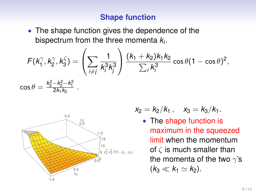#### **Shape function**

• The shape function gives the dependence of the bispectrum from the three momenta *k<sup>i</sup>* .

$$
F(k_1^{\gamma}, k_2^{\gamma}, k_3^{\zeta}) = \left(\sum_{i \neq j} \frac{1}{k_i^3 k_j^3}\right) \frac{(k_1 + k_2)k_1k_2}{\sum_{i} k_i^3} \cos \theta (1 - \cos \theta)^2,
$$
  
\n
$$
\cos \theta = \frac{k_3^2 - k_2^2 - k_1^2}{2k_1k_2}.
$$



$$
x_2 = k_2/k_1, \quad x_3 = k_3/k_1.
$$

• The shape function is maximum in the squeezed limit when the momentum of  $\zeta$  is much smaller than the momenta of the two  $\gamma$ 's  $(k_3 \ll k_1 \simeq k_2)$ .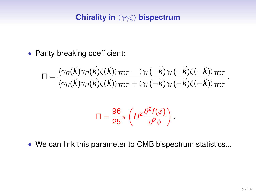### **Chirality in**  $\langle \gamma \gamma \zeta \rangle$  **bispectrum**

• Parity breaking coefficient:

$$
\Pi=\frac{\langle\gamma_{\mathit{R}}(\vec{k})\gamma_{\mathit{R}}(\vec{k})\zeta(\vec{k})\rangle_{\mathit{TOT}}-\langle\gamma_{\mathit{L}}(-\vec{k})\gamma_{\mathit{L}}(-\vec{k})\zeta(-\vec{k})\rangle_{\mathit{TOT}}}{\langle\gamma_{\mathit{R}}(\vec{k})\gamma_{\mathit{R}}(\vec{k})\zeta(\vec{k})\rangle_{\mathit{TOT}}+\langle\gamma_{\mathit{L}}(-\vec{k})\gamma_{\mathit{L}}(-\vec{k})\zeta(-\vec{k})\rangle_{\mathit{TOT}}}\,,
$$

$$
\Pi = \frac{96}{25} \pi \left( H^2 \frac{\partial^2 f(\phi)}{\partial^2 \phi} \right).
$$

• We can link this parameter to CMB bispectrum statistics...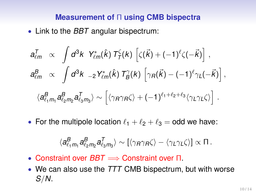#### **Measurement of** Π **using CMB bispectra**

• Link to the *BBT* angular bispectrum:

$$
a_{\ell m}^T \propto \int d^3k \; Y_{\ell m}^*(\hat{k}) \; T_I^{\zeta}(k) \left[ \zeta(\vec{k}) + (-1)^{\ell} \zeta(-\vec{k}) \right],
$$
  
\n
$$
a_{\ell m}^B \propto \int d^3k \;_{-2} Y_{\ell m}^*(\hat{k}) \; T_B^{\gamma}(k) \left[ \gamma_R(\vec{k}) - (-1)^{\ell} \gamma_L(-\vec{k}) \right],
$$
  
\n
$$
\langle a_{\ell_1 m_1}^B a_{\ell_2 m_2}^B a_{\ell_3 m_3}^T \rangle \sim \left[ \langle \gamma_R \gamma_R \zeta \rangle + (-1)^{\ell_1 + \ell_2 + \ell_3} \langle \gamma_L \gamma_L \zeta \rangle \right].
$$

• For the multipole location  $\ell_1 + \ell_2 + \ell_3 =$  odd we have:

$$
\langle a^B_{\ell_1 m_1} a^B_{\ell_2 m_2} a^T_{\ell_3 m_3} \rangle \sim \left[\langle \gamma_{\text{R}} \gamma_{\text{R}} \zeta \rangle - \langle \gamma_{\text{L}} \gamma_{\text{L}} \zeta \rangle \right] \propto \Pi \,.
$$

- Constraint over *BBT*  $\implies$  Constraint over Π.
- We can also use the *TTT* CMB bispectrum, but with worse *S*/*N*.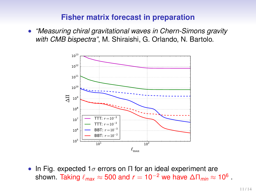#### **Fisher matrix forecast in preparation**

• *"Measuring chiral gravitational waves in Chern-Simons gravity with CMB bispectra"*, M. Shiraishi, G. Orlando, N. Bartolo.



• In Fig. expected 1 $\sigma$  errors on  $\Pi$  for an ideal experiment are shown. Taking  $\ell_\textit{max} \approx 500$  and  $r = 10^{-2}$  we have  $\Delta \Pi_\textit{min} \approx 10^6$  .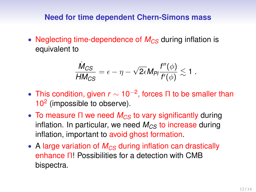#### **Need for time dependent Chern-Simons mass**

• Neglecting time-dependence of  $M_{CS}$  during inflation is equivalent to

$$
\frac{\dot{M}_{CS}}{H M_{CS}} = \epsilon - \eta - \sqrt{2\epsilon} M_{Pl} \frac{f''(\phi)}{f'(\phi)} \lesssim 1.
$$

- This condition, given *r* ∼ 10−<sup>2</sup> , forces Π to be smaller than 10<sup>2</sup> (impossible to observe).
- To measure Π we need *M<sub>CS</sub>* to vary significantly during inflation. In particular, we need  $M_{CS}$  to increase during inflation, important to avoid ghost formation.
- A large variation of  $M_{CS}$  during inflation can drastically enhance Π! Possibilities for a detection with CMB bispectra.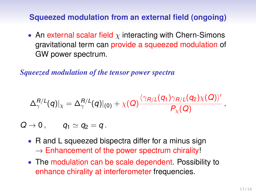#### **Squeezed modulation from an external field (ongoing)**

• An external scalar field  $\chi$  interacting with Chern-Simons gravitational term can provide a squeezed modulation of GW power spectrum.

*Squeezed modulation of the tensor power spectra*

$$
\Delta_\gamma^{R/L}(q)|_\chi=\Delta_\gamma^{R/L}(q)|_{(0)}+\chi(Q)\frac{\langle\gamma_{R/L}(q_1)\gamma_{R/L}(q_2)\chi(Q)\rangle'}{P_\chi(Q)},
$$

 $Q \rightarrow 0$ ,  $q_1 \simeq q_2 = q$ .

- R and L squeezed bispectra differ for a minus sign  $\rightarrow$  Enhancement of the power spectrum chirality!
- The modulation can be scale dependent. Possibility to enhance chirality at interferometer frequencies.